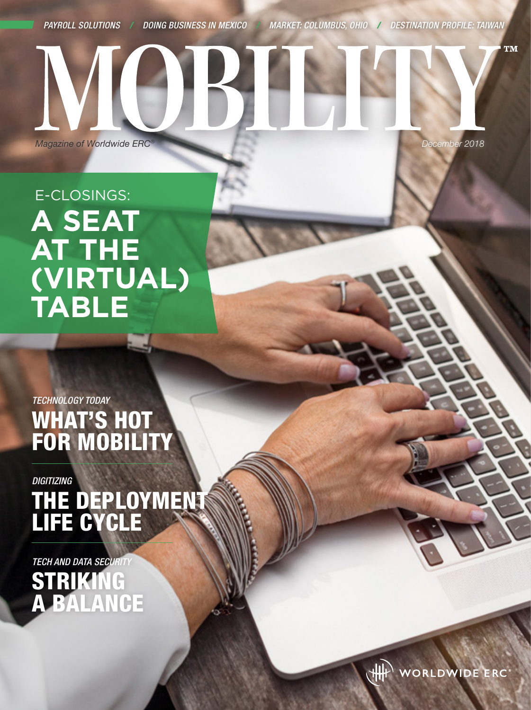*PAYROLL SOLUTIONS / DOING BUSINESS IN MEXICO / MARKET: COLUMBUS, OHIO / DESTINATION PROFILE: TAIWAN*

**TM** 

*Magazine of Worldwide ERC® December 2018*

# E-CLOSINGS: **A SEAT AT THE (VIRTUAL) TABLE**

*TECHNOLOGY TODAY* WHAT'S HOT FOR MOBILITY

*DIGITIZING* THE DEPLOYMENT LIFE CYCLE

*TECH AND DATA SECURITY* **STRIKING** A BALANCE

> $\mathcal{H}$ **WORLDWIDE ERC**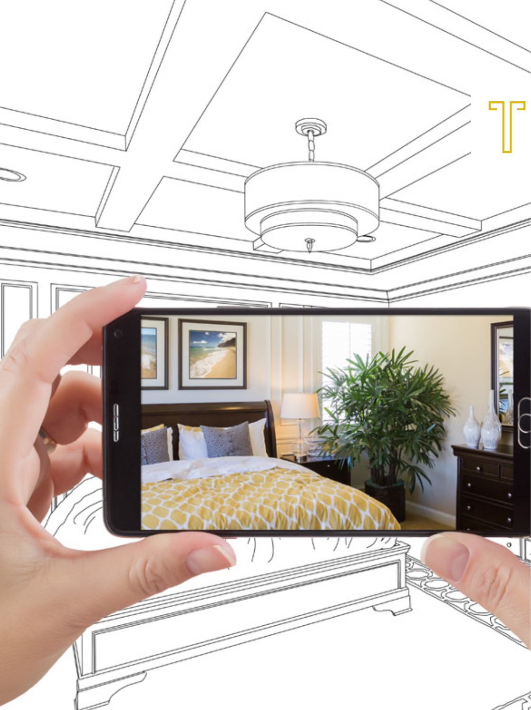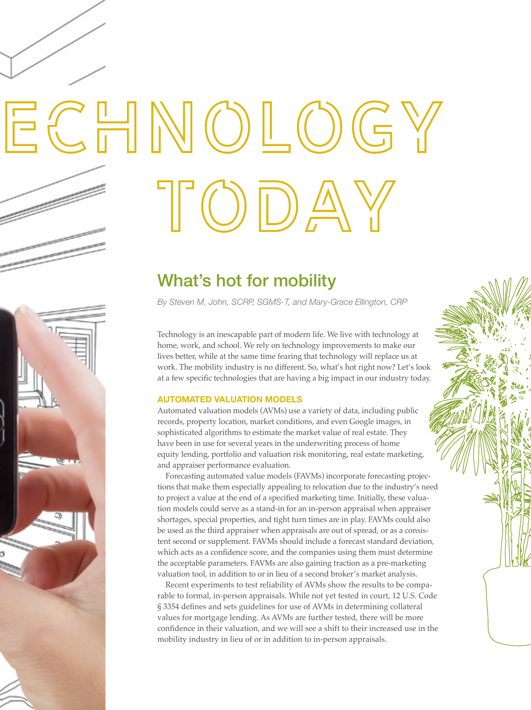

## What's hot for mobility

*By Steven M. John, SCRP, SGMS-T, and Mary-Grace Ellington, CRP* 

Technology is an inescapable part of modern life. We live with technology at home, work, and school. We rely on technology improvements to make our lives better, while at the same time fearing that technology will replace us at work. The mobility industry is no different. So, what's hot right now? Let's look at a few specific technologies that are having a big impact in our industry today.

### **AUTOMATED VALUATION MODELS**

Automated valuation models (AVMs) use a variety of data, including public records, property location, market conditions, and even Google images, in sophisticated algorithms to estimate the market value of real estate. They have been in use for several years in the underwriting process of home equity lending, portfolio and valuation risk monitoring, real estate marketing, and appraiser performance evaluation.

Forecasting automated value models (FAVMs) incorporate forecasting projections that make them especially appealing to relocation due to the industry's need to project a value at the end of a specified marketing time. Initially, these valuation models could serve as a stand-in for an in-person appraisal when appraiser shortages, special properties, and tight turn times are in play. FAVMs could also be used as the third appraiser when appraisals are out of spread, or as a consistent second or supplement. FAVMs should include a forecast standard deviation, which acts as a confidence score, and the companies using them must determine the acceptable parameters. FAVMs are also gaining traction as a pre-marketing valuation tool, in addition to or in lieu of a second broker's market analysis.

Recent experiments to test reliability of AVMs show the results to be comparable to formal, in-person appraisals. While not yet tested in court, 12 U.S. Code § 3354 defines and sets guidelines for use of AVMs in determining collateral values for mortgage lending. As AVMs are further tested, there will be more confidence in their valuation, and we will see a shift to their increased use in the mobility industry in lieu of or in addition to in-person appraisals.

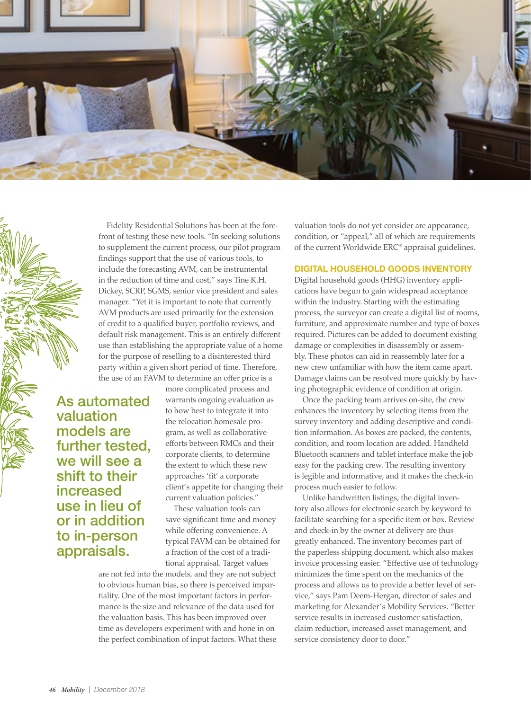

Fidelity Residential Solutions has been at the forefront of testing these new tools. "In seeking solutions to supplement the current process, our pilot program findings support that the use of various tools, to include the forecasting AVM, can be instrumental in the reduction of time and cost," says Tine K.H. Dickey, SCRP, SGMS, senior vice president and sales manager. "Yet it is important to note that currently AVM products are used primarily for the extension of credit to a qualified buyer, portfolio reviews, and default risk management. This is an entirely different use than establishing the appropriate value of a home for the purpose of reselling to a disinterested third party within a given short period of time. Therefore, the use of an FAVM to determine an offer price is a

As automated valuation models are further tested, we will see a shift to their increased use in lieu of or in addition to in-person appraisals.

more complicated process and warrants ongoing evaluation as to how best to integrate it into the relocation homesale program, as well as collaborative efforts between RMCs and their corporate clients, to determine the extent to which these new approaches 'fit' a corporate client's appetite for changing their current valuation policies."

These valuation tools can save significant time and money while offering convenience. A typical FAVM can be obtained for a fraction of the cost of a traditional appraisal. Target values

are not fed into the models, and they are not subject to obvious human bias, so there is perceived impartiality. One of the most important factors in performance is the size and relevance of the data used for the valuation basis. This has been improved over time as developers experiment with and hone in on the perfect combination of input factors. What these

valuation tools do not yet consider are appearance, condition, or "appeal," all of which are requirements of the current Worldwide ERC® appraisal guidelines.

#### **DIGITAL HOUSEHOLD GOODS INVENTORY**

Digital household goods (HHG) inventory applications have begun to gain widespread acceptance within the industry. Starting with the estimating process, the surveyor can create a digital list of rooms, furniture, and approximate number and type of boxes required. Pictures can be added to document existing damage or complexities in disassembly or assembly. These photos can aid in reassembly later for a new crew unfamiliar with how the item came apart. Damage claims can be resolved more quickly by having photographic evidence of condition at origin.

Once the packing team arrives on-site, the crew enhances the inventory by selecting items from the survey inventory and adding descriptive and condition information. As boxes are packed, the contents, condition, and room location are added. Handheld Bluetooth scanners and tablet interface make the job easy for the packing crew. The resulting inventory is legible and informative, and it makes the check-in process much easier to follow.

Unlike handwritten listings, the digital inventory also allows for electronic search by keyword to facilitate searching for a specific item or box. Review and check-in by the owner at delivery are thus greatly enhanced. The inventory becomes part of the paperless shipping document, which also makes invoice processing easier. "Effective use of technology minimizes the time spent on the mechanics of the process and allows us to provide a better level of service," says Pam Deem-Hergan, director of sales and marketing for Alexander's Mobility Services. "Better service results in increased customer satisfaction, claim reduction, increased asset management, and service consistency door to door."